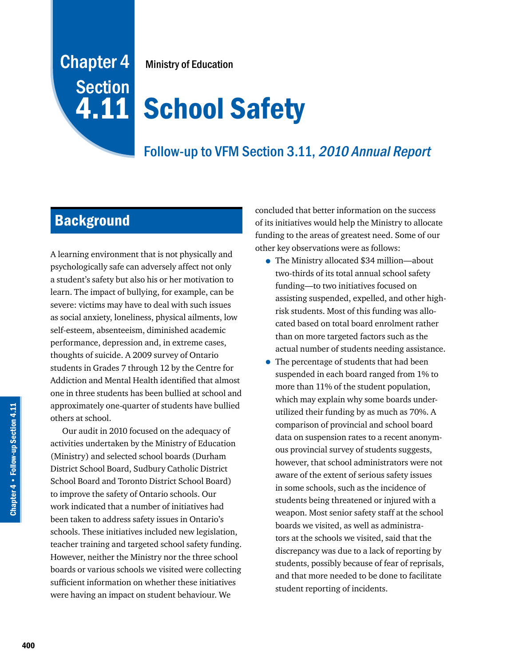## Chapter 4 **Section** 4.11

Ministry of Education

# **School Safety**

## Follow-up to VFM Section 3.11, 2010 Annual Report

## **Background**

A learning environment that is not physically and psychologically safe can adversely affect not only a student's safety but also his or her motivation to learn. The impact of bullying, for example, can be severe: victims may have to deal with such issues as social anxiety, loneliness, physical ailments, low self-esteem, absenteeism, diminished academic performance, depression and, in extreme cases, thoughts of suicide. A 2009 survey of Ontario students in Grades 7 through 12 by the Centre for Addiction and Mental Health identified that almost one in three students has been bullied at school and approximately one-quarter of students have bullied others at school.

Our audit in 2010 focused on the adequacy of activities undertaken by the Ministry of Education (Ministry) and selected school boards (Durham District School Board, Sudbury Catholic District School Board and Toronto District School Board) to improve the safety of Ontario schools. Our work indicated that a number of initiatives had been taken to address safety issues in Ontario's schools. These initiatives included new legislation, teacher training and targeted school safety funding. However, neither the Ministry nor the three school boards or various schools we visited were collecting sufficient information on whether these initiatives were having an impact on student behaviour. We

concluded that better information on the success of its initiatives would help the Ministry to allocate funding to the areas of greatest need. Some of our other key observations were as follows:

- The Ministry allocated \$34 million—about two-thirds of its total annual school safety funding—to two initiatives focused on assisting suspended, expelled, and other highrisk students. Most of this funding was allocated based on total board enrolment rather than on more targeted factors such as the actual number of students needing assistance.
- The percentage of students that had been suspended in each board ranged from 1% to more than 11% of the student population, which may explain why some boards underutilized their funding by as much as 70%. A comparison of provincial and school board data on suspension rates to a recent anonymous provincial survey of students suggests, however, that school administrators were not aware of the extent of serious safety issues in some schools, such as the incidence of students being threatened or injured with a weapon. Most senior safety staff at the school boards we visited, as well as administrators at the schools we visited, said that the discrepancy was due to a lack of reporting by students, possibly because of fear of reprisals, and that more needed to be done to facilitate student reporting of incidents.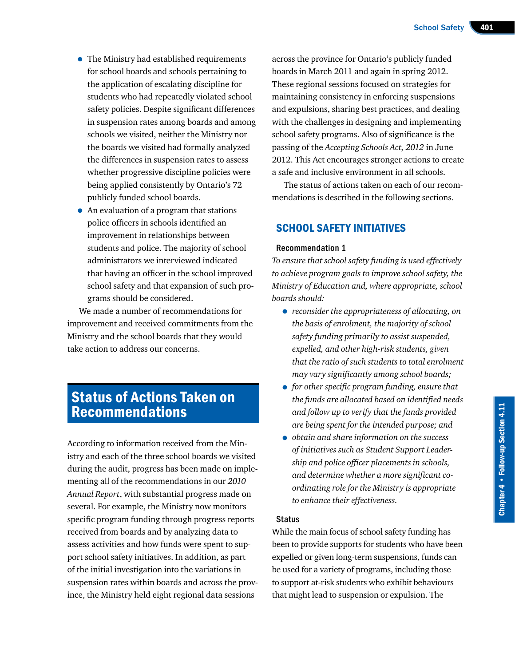- The Ministry had established requirements for school boards and schools pertaining to the application of escalating discipline for students who had repeatedly violated school safety policies. Despite significant differences in suspension rates among boards and among schools we visited, neither the Ministry nor the boards we visited had formally analyzed the differences in suspension rates to assess whether progressive discipline policies were being applied consistently by Ontario's 72 publicly funded school boards.
- An evaluation of a program that stations police officers in schools identified an improvement in relationships between students and police. The majority of school administrators we interviewed indicated that having an officer in the school improved school safety and that expansion of such programs should be considered.

We made a number of recommendations for improvement and received commitments from the Ministry and the school boards that they would take action to address our concerns.

### Status of Actions Taken on Recommendations

According to information received from the Ministry and each of the three school boards we visited during the audit, progress has been made on implementing all of the recommendations in our *2010 Annual Report*, with substantial progress made on several. For example, the Ministry now monitors specific program funding through progress reports received from boards and by analyzing data to assess activities and how funds were spent to support school safety initiatives. In addition, as part of the initial investigation into the variations in suspension rates within boards and across the province, the Ministry held eight regional data sessions

across the province for Ontario's publicly funded boards in March 2011 and again in spring 2012. These regional sessions focused on strategies for maintaining consistency in enforcing suspensions and expulsions, sharing best practices, and dealing with the challenges in designing and implementing school safety programs. Also of significance is the passing of the *Accepting Schools Act, 2012* in June 2012. This Act encourages stronger actions to create a safe and inclusive environment in all schools.

The status of actions taken on each of our recommendations is described in the following sections.

#### SCHOOL SAFETY INITIATIVES

#### Recommendation 1

*To ensure that school safety funding is used effectively to achieve program goals to improve school safety, the Ministry of Education and, where appropriate, school boards should:*

- *reconsider the appropriateness of allocating, on the basis of enrolment, the majority of school safety funding primarily to assist suspended, expelled, and other high-risk students, given that the ratio of such students to total enrolment may vary significantly among school boards;*
- *for other specific program funding, ensure that the funds are allocated based on identified needs and follow up to verify that the funds provided are being spent for the intended purpose; and*
- *obtain and share information on the success of initiatives such as Student Support Leadership and police officer placements in schools, and determine whether a more significant coordinating role for the Ministry is appropriate to enhance their effectiveness.*

#### **Status**

While the main focus of school safety funding has been to provide supports for students who have been expelled or given long-term suspensions, funds can be used for a variety of programs, including those to support at-risk students who exhibit behaviours that might lead to suspension or expulsion. The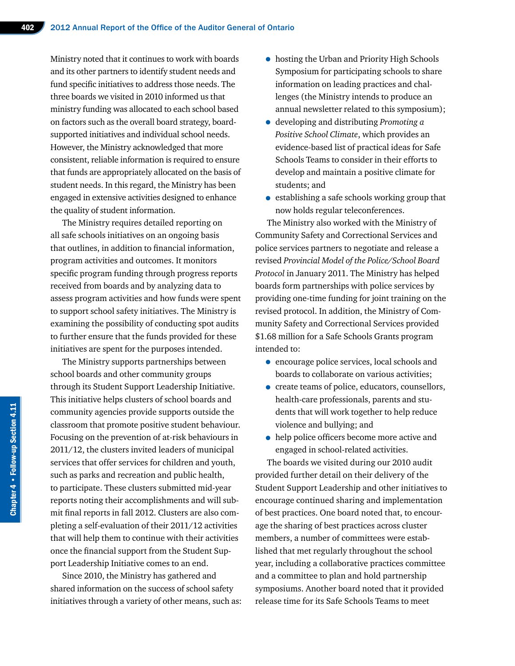Ministry noted that it continues to work with boards and its other partners to identify student needs and fund specific initiatives to address those needs. The three boards we visited in 2010 informed us that ministry funding was allocated to each school based on factors such as the overall board strategy, boardsupported initiatives and individual school needs. However, the Ministry acknowledged that more consistent, reliable information is required to ensure that funds are appropriately allocated on the basis of student needs. In this regard, the Ministry has been engaged in extensive activities designed to enhance the quality of student information.

The Ministry requires detailed reporting on all safe schools initiatives on an ongoing basis that outlines, in addition to financial information, program activities and outcomes. It monitors specific program funding through progress reports received from boards and by analyzing data to assess program activities and how funds were spent to support school safety initiatives. The Ministry is examining the possibility of conducting spot audits to further ensure that the funds provided for these initiatives are spent for the purposes intended.

The Ministry supports partnerships between school boards and other community groups through its Student Support Leadership Initiative. This initiative helps clusters of school boards and community agencies provide supports outside the classroom that promote positive student behaviour. Focusing on the prevention of at-risk behaviours in 2011/12, the clusters invited leaders of municipal services that offer services for children and youth, such as parks and recreation and public health, to participate. These clusters submitted mid-year reports noting their accomplishments and will submit final reports in fall 2012. Clusters are also completing a self-evaluation of their 2011/12 activities that will help them to continue with their activities once the financial support from the Student Support Leadership Initiative comes to an end.

Since 2010, the Ministry has gathered and shared information on the success of school safety initiatives through a variety of other means, such as:

- hosting the Urban and Priority High Schools Symposium for participating schools to share information on leading practices and challenges (the Ministry intends to produce an annual newsletter related to this symposium);
- developing and distributing *Promoting a Positive School Climate*, which provides an evidence-based list of practical ideas for Safe Schools Teams to consider in their efforts to develop and maintain a positive climate for students; and
- establishing a safe schools working group that now holds regular teleconferences.

The Ministry also worked with the Ministry of Community Safety and Correctional Services and police services partners to negotiate and release a revised *Provincial Model of the Police/School Board Protocol* in January 2011. The Ministry has helped boards form partnerships with police services by providing one-time funding for joint training on the revised protocol. In addition, the Ministry of Community Safety and Correctional Services provided \$1.68 million for a Safe Schools Grants program intended to:

- encourage police services, local schools and boards to collaborate on various activities;
- create teams of police, educators, counsellors, health-care professionals, parents and students that will work together to help reduce violence and bullying; and
- help police officers become more active and engaged in school-related activities.

The boards we visited during our 2010 audit provided further detail on their delivery of the Student Support Leadership and other initiatives to encourage continued sharing and implementation of best practices. One board noted that, to encourage the sharing of best practices across cluster members, a number of committees were established that met regularly throughout the school year, including a collaborative practices committee and a committee to plan and hold partnership symposiums. Another board noted that it provided release time for its Safe Schools Teams to meet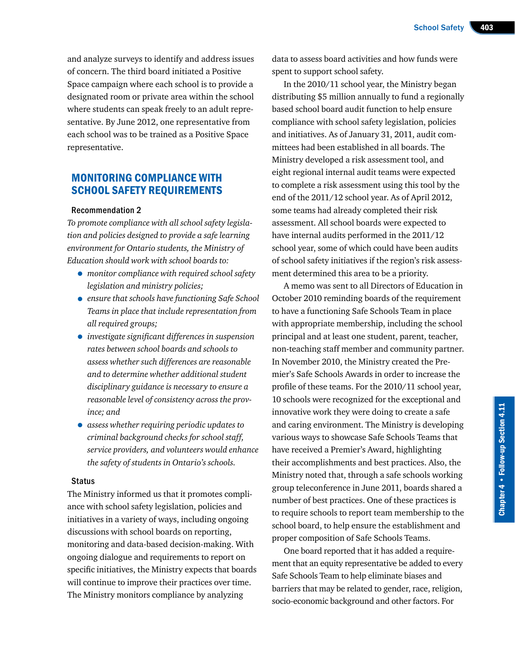and analyze surveys to identify and address issues of concern. The third board initiated a Positive Space campaign where each school is to provide a designated room or private area within the school where students can speak freely to an adult representative. By June 2012, one representative from each school was to be trained as a Positive Space representative.

#### MONITORING COMPLIANCE WITH SCHOOL SAFETY REQUIREMENTS

#### Recommendation 2

*To promote compliance with all school safety legislation and policies designed to provide a safe learning environment for Ontario students, the Ministry of Education should work with school boards to:*

- *monitor compliance with required school safety legislation and ministry policies;*
- *ensure that schools have functioning Safe School Teams in place that include representation from all required groups;*
- *investigate significant differences in suspension rates between school boards and schools to assess whether such differences are reasonable and to determine whether additional student disciplinary guidance is necessary to ensure a reasonable level of consistency across the province; and*
- *assess whether requiring periodic updates to criminal background checks for school staff, service providers, and volunteers would enhance the safety of students in Ontario's schools.*

#### **Status**

The Ministry informed us that it promotes compliance with school safety legislation, policies and initiatives in a variety of ways, including ongoing discussions with school boards on reporting, monitoring and data-based decision-making. With ongoing dialogue and requirements to report on specific initiatives, the Ministry expects that boards will continue to improve their practices over time. The Ministry monitors compliance by analyzing

data to assess board activities and how funds were spent to support school safety.

In the 2010/11 school year, the Ministry began distributing \$5 million annually to fund a regionally based school board audit function to help ensure compliance with school safety legislation, policies and initiatives. As of January 31, 2011, audit committees had been established in all boards. The Ministry developed a risk assessment tool, and eight regional internal audit teams were expected to complete a risk assessment using this tool by the end of the 2011/12 school year. As of April 2012, some teams had already completed their risk assessment. All school boards were expected to have internal audits performed in the 2011/12 school year, some of which could have been audits of school safety initiatives if the region's risk assessment determined this area to be a priority.

A memo was sent to all Directors of Education in October 2010 reminding boards of the requirement to have a functioning Safe Schools Team in place with appropriate membership, including the school principal and at least one student, parent, teacher, non-teaching staff member and community partner. In November 2010, the Ministry created the Premier's Safe Schools Awards in order to increase the profile of these teams. For the 2010/11 school year, 10 schools were recognized for the exceptional and innovative work they were doing to create a safe and caring environment. The Ministry is developing various ways to showcase Safe Schools Teams that have received a Premier's Award, highlighting their accomplishments and best practices. Also, the Ministry noted that, through a safe schools working group teleconference in June 2011, boards shared a number of best practices. One of these practices is to require schools to report team membership to the school board, to help ensure the establishment and proper composition of Safe Schools Teams.

One board reported that it has added a requirement that an equity representative be added to every Safe Schools Team to help eliminate biases and barriers that may be related to gender, race, religion, socio-economic background and other factors. For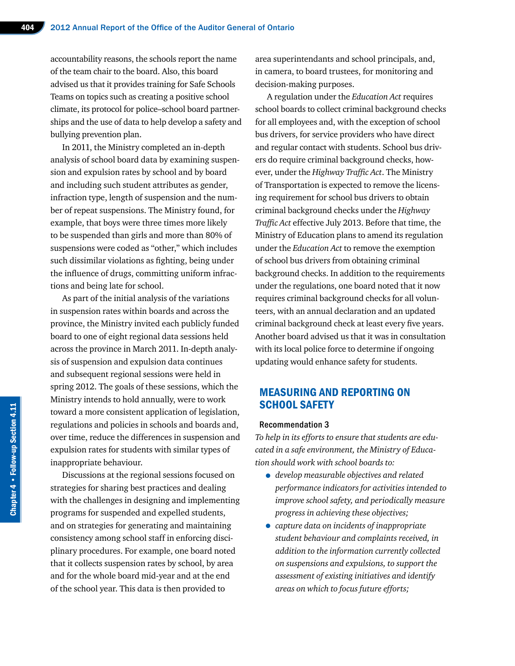accountability reasons, the schools report the name of the team chair to the board. Also, this board advised us that it provides training for Safe Schools Teams on topics such as creating a positive school climate, its protocol for police–school board partnerships and the use of data to help develop a safety and bullying prevention plan.

In 2011, the Ministry completed an in-depth analysis of school board data by examining suspension and expulsion rates by school and by board and including such student attributes as gender, infraction type, length of suspension and the number of repeat suspensions. The Ministry found, for example, that boys were three times more likely to be suspended than girls and more than 80% of suspensions were coded as "other," which includes such dissimilar violations as fighting, being under the influence of drugs, committing uniform infractions and being late for school.

As part of the initial analysis of the variations in suspension rates within boards and across the province, the Ministry invited each publicly funded board to one of eight regional data sessions held across the province in March 2011. In-depth analysis of suspension and expulsion data continues and subsequent regional sessions were held in spring 2012. The goals of these sessions, which the Ministry intends to hold annually, were to work toward a more consistent application of legislation, regulations and policies in schools and boards and, over time, reduce the differences in suspension and expulsion rates for students with similar types of inappropriate behaviour.

Discussions at the regional sessions focused on strategies for sharing best practices and dealing with the challenges in designing and implementing programs for suspended and expelled students, and on strategies for generating and maintaining consistency among school staff in enforcing disciplinary procedures. For example, one board noted that it collects suspension rates by school, by area and for the whole board mid-year and at the end of the school year. This data is then provided to

area superintendants and school principals, and, in camera, to board trustees, for monitoring and decision-making purposes.

A regulation under the *Education Act* requires school boards to collect criminal background checks for all employees and, with the exception of school bus drivers, for service providers who have direct and regular contact with students. School bus drivers do require criminal background checks, however, under the *Highway Traffic Act*. The Ministry of Transportation is expected to remove the licensing requirement for school bus drivers to obtain criminal background checks under the *Highway Traffic Act* effective July 2013. Before that time, the Ministry of Education plans to amend its regulation under the *Education Act* to remove the exemption of school bus drivers from obtaining criminal background checks. In addition to the requirements under the regulations, one board noted that it now requires criminal background checks for all volunteers, with an annual declaration and an updated criminal background check at least every five years. Another board advised us that it was in consultation with its local police force to determine if ongoing updating would enhance safety for students.

#### MEASURING AND REPORTING ON SCHOOL SAFETY

#### Recommendation 3

*To help in its efforts to ensure that students are educated in a safe environment, the Ministry of Education should work with school boards to:*

- *develop measurable objectives and related performance indicators for activities intended to improve school safety, and periodically measure progress in achieving these objectives;*
- *capture data on incidents of inappropriate student behaviour and complaints received, in addition to the information currently collected on suspensions and expulsions, to support the assessment of existing initiatives and identify areas on which to focus future efforts;*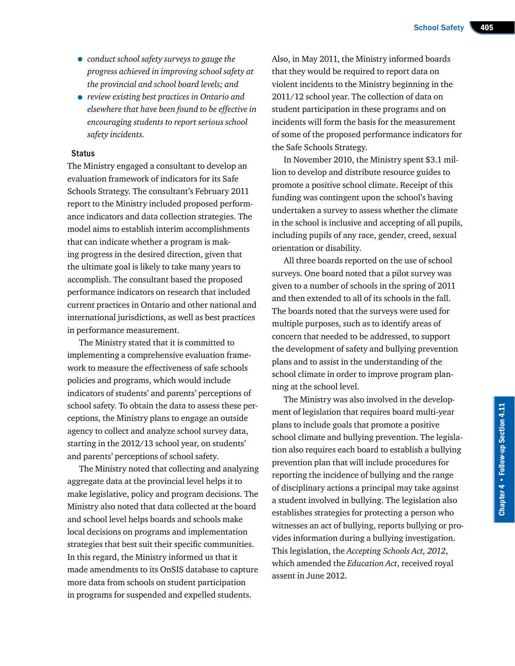- *conduct school safety surveys to gauge the progress achieved in improving school safety at the provincial and school board levels; and*
- *review existing best practices in Ontario and elsewhere that have been found to be effective in encouraging students to report serious school safety incidents.*

#### **Status**

The Ministry engaged a consultant to develop an evaluation framework of indicators for its Safe Schools Strategy. The consultant's February 2011 report to the Ministry included proposed performance indicators and data collection strategies. The model aims to establish interim accomplishments that can indicate whether a program is making progress in the desired direction, given that the ultimate goal is likely to take many years to accomplish. The consultant based the proposed performance indicators on research that included current practices in Ontario and other national and international jurisdictions, as well as best practices in performance measurement.

The Ministry stated that it is committed to implementing a comprehensive evaluation framework to measure the effectiveness of safe schools policies and programs, which would include indicators of students' and parents' perceptions of school safety. To obtain the data to assess these perceptions, the Ministry plans to engage an outside agency to collect and analyze school survey data, starting in the 2012/13 school year, on students' and parents' perceptions of school safety.

The Ministry noted that collecting and analyzing aggregate data at the provincial level helps it to make legislative, policy and program decisions. The Ministry also noted that data collected at the board and school level helps boards and schools make local decisions on programs and implementation strategies that best suit their specific communities. In this regard, the Ministry informed us that it made amendments to its OnSIS database to capture more data from schools on student participation in programs for suspended and expelled students.

Also, in May 2011, the Ministry informed boards that they would be required to report data on violent incidents to the Ministry beginning in the 2011/12 school year. The collection of data on student participation in these programs and on incidents will form the basis for the measurement of some of the proposed performance indicators for the Safe Schools Strategy.

In November 2010, the Ministry spent \$3.1 million to develop and distribute resource guides to promote a positive school climate. Receipt of this funding was contingent upon the school's having undertaken a survey to assess whether the climate in the school is inclusive and accepting of all pupils, including pupils of any race, gender, creed, sexual orientation or disability.

All three boards reported on the use of school surveys. One board noted that a pilot survey was given to a number of schools in the spring of 2011 and then extended to all of its schools in the fall. The boards noted that the surveys were used for multiple purposes, such as to identify areas of concern that needed to be addressed, to support the development of safety and bullying prevention plans and to assist in the understanding of the school climate in order to improve program planning at the school level.

The Ministry was also involved in the development of legislation that requires board multi-year plans to include goals that promote a positive school climate and bullying prevention. The legislation also requires each board to establish a bullying prevention plan that will include procedures for reporting the incidence of bullying and the range of disciplinary actions a principal may take against a student involved in bullying. The legislation also establishes strategies for protecting a person who witnesses an act of bullying, reports bullying or provides information during a bullying investigation. This legislation, the *Accepting Schools Act, 2012*, which amended the *Education Act*, received royal assent in June 2012.